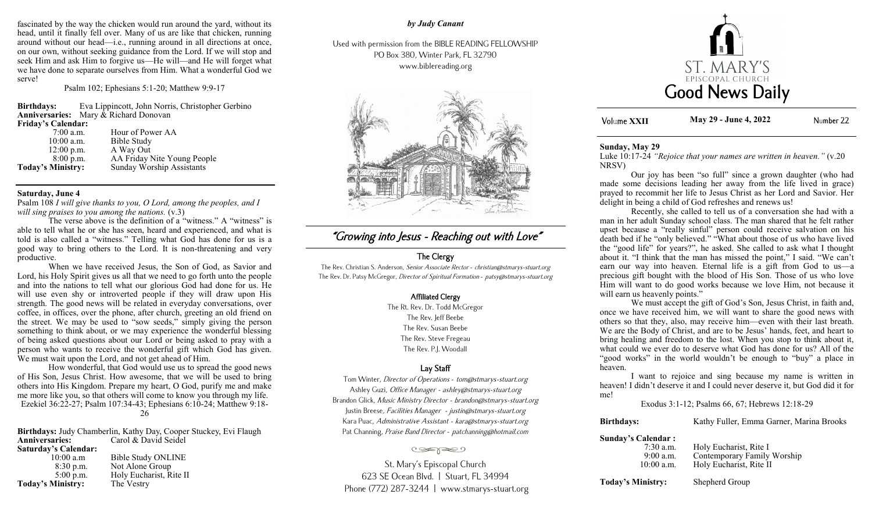fascinated by the way the chicken would run around the yard, without its head, until it finally fell over. Many of us are like that chicken, running around without our head—i.e., running around in all directions at once, on our own, without seeking guidance from the Lord. If we will stop and seek Him and ask Him to forgive us—He will—and He will forget what we have done to separate ourselves from Him. What a wonderful God we serve!

Psalm 102; Ephesians 5:1-20; Matthew 9:9-17

**Birthdays:** Eva Lippincott, John Norris, Christopher Gerbino **Anniversaries:** Mary & Richard Donovan **Friday's Calendar:** 7:00 a.m. Hour of Power AA<br>10:00 a.m. Bible Study 10:00 a.m. Bible Study<br>12:00 p.m. A Way Out  $12:00$  p.m.  $\qquad$  A Way Out  $8:00$  p.m.  $\qquad$  AA Friday l AA Friday Nite Young People

**Today's Ministry:** Sunday Worship Assistants

### **Saturday, June 4**

Psalm 108 *I will give thanks to you, O Lord, among the peoples, and I will sing praises to you among the nations.* (v.3)

The verse above is the definition of a "witness." A "witness" is able to tell what he or she has seen, heard and experienced, and what is told is also called a "witness." Telling what God has done for us is a good way to bring others to the Lord. It is non-threatening and very productive.

When we have received Jesus, the Son of God, as Savior and Lord, his Holy Spirit gives us all that we need to go forth unto the people and into the nations to tell what our glorious God had done for us. He will use even shy or introverted people if they will draw upon His strength. The good news will be related in everyday conversations, over coffee, in offices, over the phone, after church, greeting an old friend on the street. We may be used to "sow seeds," simply giving the person something to think about, or we may experience the wonderful blessing of being asked questions about our Lord or being asked to pray with a person who wants to receive the wonderful gift which God has given. We must wait upon the Lord, and not get ahead of Him.

How wonderful, that God would use us to spread the good news of His Son, Jesus Christ. How awesome, that we will be used to bring others into His Kingdom. Prepare my heart, O God, purify me and make me more like you, so that others will come to know you through my life. Ezekiel 36:22-27; Psalm 107:34-43; Ephesians 6:10-24; Matthew 9:18- 26

**Birthdays:** Judy Chamberlin, Kathy Day, Cooper Stuckey, Evi Flaugh **Anniversaries:** Carol & David Seidel **Saturday's Calendar:** Bible Study ONLINE

| <b>Today's Ministry:</b> | The Vestry              |
|--------------------------|-------------------------|
| $5:00$ p.m.              | Holy Eucharist, Rite II |
| 8:30 p.m.                | Not Alone Group         |
| TV.VV a.III              | DIDIC DRUG ORLEANE      |

## *by Judy Canant*

Used with permission from the BIBLE READING FELLOWSHIP PO Box 380, Winter Park, FL 32790 www.biblereading.org



# "Growing into Jesus - Reaching out with Love"

## The Clergy

The Rev. Christian S. Anderson, Senior Associate Rector - christian@stmarys-stuart.org The Rev. Dr. Patsy McGregor, Director of Spiritual Formation - patsy@stmarys-stuart.org

## Affiliated Clergy

The Rt. Rev. Dr. Todd McGregor The Rev. Jeff Beebe The Rev. Susan Beebe The Rev. Steve Fregeau The Rev. P.J. Woodall

## Lay Staff

Tom Winter, Director of Operations - tom@stmarys-stuart.org Ashley Guzi, Office Manager - ashley@stmarys-stuart.org Brandon Glick, Music Ministry Director - brandon@stmarys-stuart.org Justin Breese, Facilities Manager - justin@stmarys-stuart.org Kara Puac, Administrative Assistant - kara@stmarys-stuart.org Pat Channing, Praise Band Director - patchanning@hotmail.com

### تعجون

St. Mary's Episcopal Church 623 SE Ocean Blvd. | Stuart, FL 34994 Phone (772) 287-3244 | www.stmarys-stuart.org



**XXII May 29 - June 4, 2022**Number 22

### **Sunday, May 29**

Luke 10:17-24 *"Rejoice that your names are written in heaven."* (v.20 NRSV)

Our joy has been "so full" since a grown daughter (who had made some decisions leading her away from the life lived in grace) prayed to recommit her life to Jesus Christ as her Lord and Savior. Her delight in being a child of God refreshes and renews us!

Recently, she called to tell us of a conversation she had with a man in her adult Sunday school class. The man shared that he felt rather upset because a "really sinful" person could receive salvation on his death bed if he "only believed." "What about those of us who have lived the "good life" for years?", he asked. She called to ask what I thought about it. "I think that the man has missed the point," I said. "We can't earn our way into heaven. Eternal life is a gift from God to us—a precious gift bought with the blood of His Son. Those of us who love Him will want to do good works because we love Him, not because it will earn us heavenly points."

We must accept the gift of God's Son, Jesus Christ, in faith and, once we have received him, we will want to share the good news with others so that they, also, may receive him—even with their last breath. We are the Body of Christ, and are to be Jesus' hands, feet, and heart to bring healing and freedom to the lost. When you stop to think about it, what could we ever do to deserve what God has done for us? All of the "good works" in the world wouldn't be enough to "buy" a place in heaven.

I want to rejoice and sing because my name is written in heaven! I didn't deserve it and I could never deserve it, but God did it for me!

Exodus 3:1-12; Psalms 66, 67; Hebrews 12:18-29

**Birthdays:** Kathy Fuller, Emma Garner, Marina Brooks

## **Sunday's Calendar :**

| $7:30$ a.m.  | Holy Eucharist, Rite I      |
|--------------|-----------------------------|
| $9:00$ a.m.  | Contemporary Family Worship |
| $10:00$ a.m. | Holy Eucharist, Rite II     |
|              |                             |

**Today's Ministry:** Shepherd Group